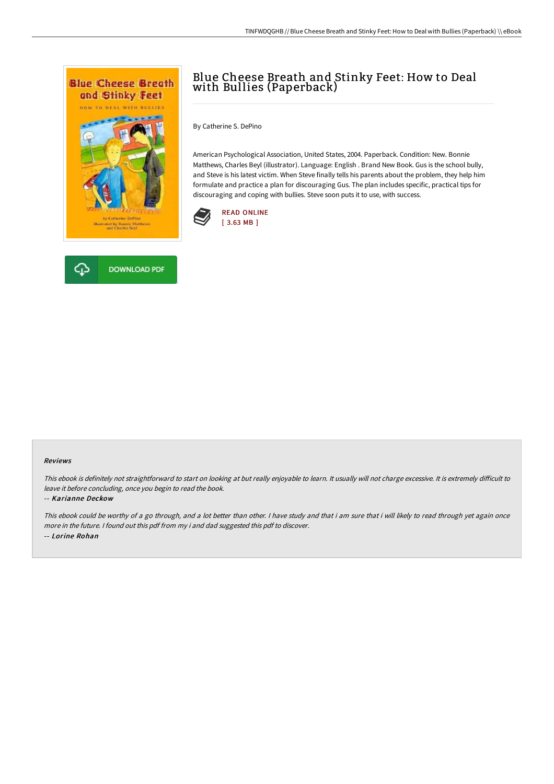

# Blue Cheese Breath and Stinky Feet: How to Deal with Bullies (Paperback)

By Catherine S. DePino

American Psychological Association, United States, 2004. Paperback. Condition: New. Bonnie Matthews, Charles Beyl (illustrator). Language: English . Brand New Book. Gus is the school bully, and Steve is his latest victim. When Steve finally tells his parents about the problem, they help him formulate and practice a plan for discouraging Gus. The plan includes specific, practical tips for discouraging and coping with bullies. Steve soon puts it to use, with success.





#### Reviews

This ebook is definitely not straightforward to start on looking at but really enjoyable to learn. It usually will not charge excessive. It is extremely difficult to leave it before concluding, once you begin to read the book.

#### -- Karianne Deckow

This ebook could be worthy of <sup>a</sup> go through, and <sup>a</sup> lot better than other. <sup>I</sup> have study and that i am sure that i will likely to read through yet again once more in the future. <sup>I</sup> found out this pdf from my i and dad suggested this pdf to discover. -- Lorine Rohan